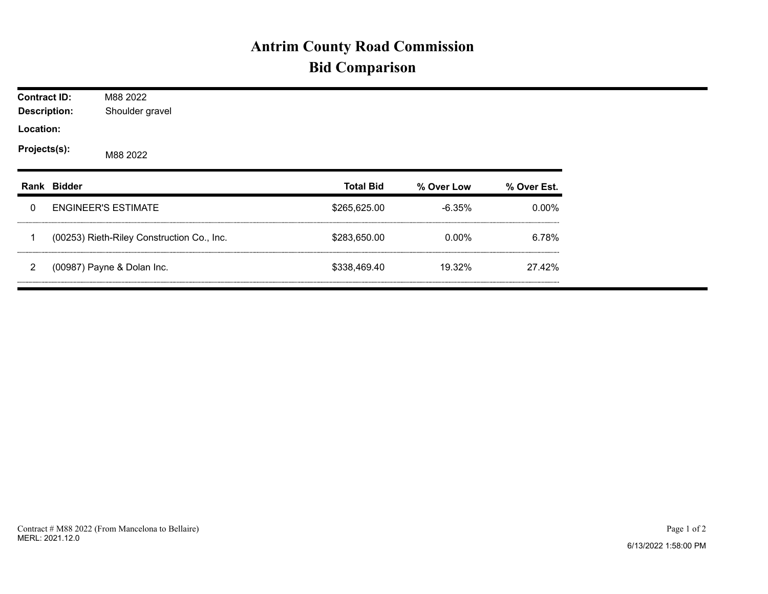## **Antrim County Road Commission Bid Comparison**

| <b>Contract ID:</b><br><b>Description:</b> |             | M88 2022<br>Shoulder gravel                |                  |            |             |  |  |  |  |  |
|--------------------------------------------|-------------|--------------------------------------------|------------------|------------|-------------|--|--|--|--|--|
| Location:                                  |             |                                            |                  |            |             |  |  |  |  |  |
| Projects(s):                               |             | M88 2022                                   |                  |            |             |  |  |  |  |  |
|                                            | Rank Bidder |                                            | <b>Total Bid</b> | % Over Low | % Over Est. |  |  |  |  |  |
| 0                                          |             | <b>ENGINEER'S ESTIMATE</b>                 | \$265,625.00     | $-6.35%$   | $0.00\%$    |  |  |  |  |  |
|                                            |             | (00253) Rieth-Riley Construction Co., Inc. | \$283,650.00     | $0.00\%$   | 6.78%       |  |  |  |  |  |
| 2                                          |             | (00987) Payne & Dolan Inc.                 | \$338,469.40     | 19.32%     | 27.42%      |  |  |  |  |  |